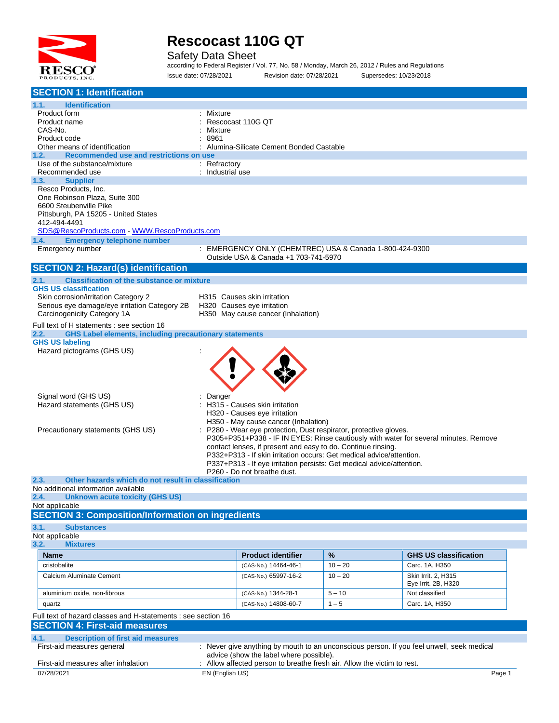

Safety Data Sheet

according to Federal Register / Vol. 77, No. 58 / Monday, March 26, 2012 / Rules and Regulations Issue date: 07/28/2021 Revision date: 07/28/2021 Supersedes: 10/23/2018

| <b>SECTION 1: Identification</b>                                                          |                                             |                                                                                                                                               |           |                                                                                           |  |  |  |
|-------------------------------------------------------------------------------------------|---------------------------------------------|-----------------------------------------------------------------------------------------------------------------------------------------------|-----------|-------------------------------------------------------------------------------------------|--|--|--|
| 1.1.<br><b>Identification</b>                                                             |                                             |                                                                                                                                               |           |                                                                                           |  |  |  |
| Product form                                                                              | Mixture                                     |                                                                                                                                               |           |                                                                                           |  |  |  |
| Product name                                                                              |                                             | Rescocast 110G OT                                                                                                                             |           |                                                                                           |  |  |  |
| CAS-No.                                                                                   | Mixture                                     |                                                                                                                                               |           |                                                                                           |  |  |  |
| Product code<br>Other means of identification                                             | 8961                                        | Alumina-Silicate Cement Bonded Castable                                                                                                       |           |                                                                                           |  |  |  |
| Recommended use and restrictions on use<br>1.2.                                           |                                             |                                                                                                                                               |           |                                                                                           |  |  |  |
| Use of the substance/mixture                                                              | : Refractory                                |                                                                                                                                               |           |                                                                                           |  |  |  |
| Recommended use                                                                           | : Industrial use                            |                                                                                                                                               |           |                                                                                           |  |  |  |
| 1.3.<br><b>Supplier</b>                                                                   |                                             |                                                                                                                                               |           |                                                                                           |  |  |  |
| Resco Products, Inc.                                                                      |                                             |                                                                                                                                               |           |                                                                                           |  |  |  |
| One Robinson Plaza, Suite 300<br>6600 Steubenville Pike                                   |                                             |                                                                                                                                               |           |                                                                                           |  |  |  |
| Pittsburgh, PA 15205 - United States                                                      |                                             |                                                                                                                                               |           |                                                                                           |  |  |  |
| 412-494-4491                                                                              |                                             |                                                                                                                                               |           |                                                                                           |  |  |  |
|                                                                                           | SDS@RescoProducts.com WWW.RescoProducts.com |                                                                                                                                               |           |                                                                                           |  |  |  |
| <b>Emergency telephone number</b><br>1.4.                                                 |                                             |                                                                                                                                               |           |                                                                                           |  |  |  |
| Emergency number                                                                          |                                             | : EMERGENCY ONLY (CHEMTREC) USA & Canada 1-800-424-9300                                                                                       |           |                                                                                           |  |  |  |
|                                                                                           |                                             | Outside USA & Canada +1 703-741-5970                                                                                                          |           |                                                                                           |  |  |  |
| <b>SECTION 2: Hazard(s) identification</b>                                                |                                             |                                                                                                                                               |           |                                                                                           |  |  |  |
| <b>Classification of the substance or mixture</b><br>2.1.<br><b>GHS US classification</b> |                                             |                                                                                                                                               |           |                                                                                           |  |  |  |
| Skin corrosion/irritation Category 2                                                      |                                             | H315 Causes skin irritation                                                                                                                   |           |                                                                                           |  |  |  |
| Serious eye damage/eye irritation Category 2B                                             |                                             | H320 Causes eye irritation                                                                                                                    |           |                                                                                           |  |  |  |
| Carcinogenicity Category 1A                                                               |                                             | H350 May cause cancer (Inhalation)                                                                                                            |           |                                                                                           |  |  |  |
| Full text of H statements : see section 16                                                |                                             |                                                                                                                                               |           |                                                                                           |  |  |  |
| <b>GHS Label elements, including precautionary statements</b><br>2.2.                     |                                             |                                                                                                                                               |           |                                                                                           |  |  |  |
| <b>GHS US labeling</b>                                                                    |                                             |                                                                                                                                               |           |                                                                                           |  |  |  |
| Hazard pictograms (GHS US)                                                                |                                             |                                                                                                                                               |           |                                                                                           |  |  |  |
|                                                                                           |                                             |                                                                                                                                               |           |                                                                                           |  |  |  |
|                                                                                           |                                             |                                                                                                                                               |           |                                                                                           |  |  |  |
|                                                                                           |                                             |                                                                                                                                               |           |                                                                                           |  |  |  |
|                                                                                           |                                             |                                                                                                                                               |           |                                                                                           |  |  |  |
| Signal word (GHS US)<br>Hazard statements (GHS US)                                        | Danger                                      | H315 - Causes skin irritation                                                                                                                 |           |                                                                                           |  |  |  |
|                                                                                           |                                             | H320 - Causes eye irritation                                                                                                                  |           |                                                                                           |  |  |  |
|                                                                                           |                                             | H350 - May cause cancer (Inhalation)                                                                                                          |           |                                                                                           |  |  |  |
| Precautionary statements (GHS US)                                                         |                                             | P280 - Wear eye protection, Dust respirator, protective gloves.                                                                               |           |                                                                                           |  |  |  |
|                                                                                           |                                             |                                                                                                                                               |           | P305+P351+P338 - IF IN EYES: Rinse cautiously with water for several minutes. Remove      |  |  |  |
|                                                                                           |                                             | contact lenses, if present and easy to do. Continue rinsing.                                                                                  |           |                                                                                           |  |  |  |
|                                                                                           |                                             | P332+P313 - If skin irritation occurs: Get medical advice/attention.<br>P337+P313 - If eye irritation persists: Get medical advice/attention. |           |                                                                                           |  |  |  |
|                                                                                           |                                             | P260 - Do not breathe dust.                                                                                                                   |           |                                                                                           |  |  |  |
| 2.3.<br>Other hazards which do not result in classification                               |                                             |                                                                                                                                               |           |                                                                                           |  |  |  |
| No additional information available                                                       |                                             |                                                                                                                                               |           |                                                                                           |  |  |  |
| <b>Unknown acute toxicity (GHS US)</b><br>2.4.                                            |                                             |                                                                                                                                               |           |                                                                                           |  |  |  |
| Not applicable<br><b>SECTION 3: Composition/Information on ingredients</b>                |                                             |                                                                                                                                               |           |                                                                                           |  |  |  |
|                                                                                           |                                             |                                                                                                                                               |           |                                                                                           |  |  |  |
| 3.1.<br><b>Substances</b><br>Not applicable                                               |                                             |                                                                                                                                               |           |                                                                                           |  |  |  |
| 3.2.<br><b>Mixtures</b>                                                                   |                                             |                                                                                                                                               |           |                                                                                           |  |  |  |
| Name                                                                                      |                                             | <b>Product identifier</b>                                                                                                                     | %         | <b>GHS US classification</b>                                                              |  |  |  |
| cristobalite                                                                              |                                             | (CAS-No.) 14464-46-1                                                                                                                          | $10 - 20$ | Carc. 1A, H350                                                                            |  |  |  |
| Calcium Aluminate Cement                                                                  |                                             | (CAS-No.) 65997-16-2                                                                                                                          | $10 - 20$ | Skin Irrit. 2, H315                                                                       |  |  |  |
|                                                                                           |                                             |                                                                                                                                               |           | Eye Irrit. 2B, H320                                                                       |  |  |  |
| aluminium oxide, non-fibrous                                                              |                                             | (CAS-No.) 1344-28-1                                                                                                                           | $5 - 10$  | Not classified                                                                            |  |  |  |
| quartz                                                                                    |                                             | (CAS-No.) 14808-60-7                                                                                                                          | $1 - 5$   | Carc. 1A, H350                                                                            |  |  |  |
| Full text of hazard classes and H-statements : see section 16                             |                                             |                                                                                                                                               |           |                                                                                           |  |  |  |
| <b>SECTION 4: First-aid measures</b>                                                      |                                             |                                                                                                                                               |           |                                                                                           |  |  |  |
| <b>Description of first aid measures</b><br>4.1.                                          |                                             |                                                                                                                                               |           |                                                                                           |  |  |  |
| First-aid measures general                                                                |                                             |                                                                                                                                               |           | : Never give anything by mouth to an unconscious person. If you feel unwell, seek medical |  |  |  |
|                                                                                           |                                             | advice (show the label where possible).                                                                                                       |           |                                                                                           |  |  |  |
| First-aid measures after inhalation                                                       |                                             | Allow affected person to breathe fresh air. Allow the victim to rest.                                                                         |           |                                                                                           |  |  |  |
| 07/28/2021                                                                                | EN (English US)                             |                                                                                                                                               |           | Page 1                                                                                    |  |  |  |
|                                                                                           |                                             |                                                                                                                                               |           |                                                                                           |  |  |  |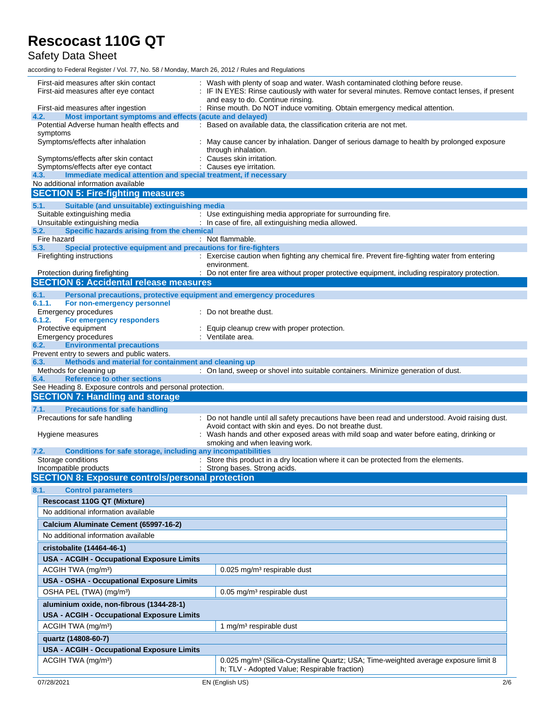### Safety Data Sheet

| First-aid measures after skin contact<br>First-aid measures after eye contact                                 | Wash with plenty of soap and water. Wash contaminated clothing before reuse.<br>IF IN EYES: Rinse cautiously with water for several minutes. Remove contact lenses, if present<br>and easy to do. Continue rinsing. |
|---------------------------------------------------------------------------------------------------------------|---------------------------------------------------------------------------------------------------------------------------------------------------------------------------------------------------------------------|
| First-aid measures after ingestion                                                                            | : Rinse mouth. Do NOT induce vomiting. Obtain emergency medical attention.                                                                                                                                          |
| Most important symptoms and effects (acute and delayed)<br>4.2.                                               |                                                                                                                                                                                                                     |
| Potential Adverse human health effects and<br>symptoms                                                        | : Based on available data, the classification criteria are not met.                                                                                                                                                 |
| Symptoms/effects after inhalation                                                                             | : May cause cancer by inhalation. Danger of serious damage to health by prolonged exposure<br>through inhalation.                                                                                                   |
| Symptoms/effects after skin contact                                                                           | Causes skin irritation.                                                                                                                                                                                             |
| Symptoms/effects after eye contact<br>Immediate medical attention and special treatment, if necessary<br>4.3. | : Causes eye irritation.                                                                                                                                                                                            |
| No additional information available                                                                           |                                                                                                                                                                                                                     |
| <b>SECTION 5: Fire-fighting measures</b>                                                                      |                                                                                                                                                                                                                     |
| 5.1.<br>Suitable (and unsuitable) extinguishing media                                                         |                                                                                                                                                                                                                     |
| Suitable extinguishing media                                                                                  | : Use extinguishing media appropriate for surrounding fire.                                                                                                                                                         |
| Unsuitable extinguishing media<br>Specific hazards arising from the chemical                                  | : In case of fire, all extinguishing media allowed.                                                                                                                                                                 |
| 5.2.<br>Fire hazard                                                                                           | : Not flammable.                                                                                                                                                                                                    |
| Special protective equipment and precautions for fire-fighters<br>5.3.                                        |                                                                                                                                                                                                                     |
| Firefighting instructions                                                                                     | : Exercise caution when fighting any chemical fire. Prevent fire-fighting water from entering                                                                                                                       |
| Protection during firefighting                                                                                | environment.<br>: Do not enter fire area without proper protective equipment, including respiratory protection.                                                                                                     |
| <b>SECTION 6: Accidental release measures</b>                                                                 |                                                                                                                                                                                                                     |
| 6.1.<br>Personal precautions, protective equipment and emergency procedures                                   |                                                                                                                                                                                                                     |
| 6.1.1.<br>For non-emergency personnel                                                                         |                                                                                                                                                                                                                     |
| Emergency procedures                                                                                          | : Do not breathe dust.                                                                                                                                                                                              |
| 6.1.2.<br>For emergency responders                                                                            |                                                                                                                                                                                                                     |
| Protective equipment<br>Emergency procedures                                                                  | Equip cleanup crew with proper protection.<br>: Ventilate area.                                                                                                                                                     |
| <b>Environmental precautions</b><br>6.2.                                                                      |                                                                                                                                                                                                                     |
| Prevent entry to sewers and public waters.                                                                    |                                                                                                                                                                                                                     |
| Methods and material for containment and cleaning up<br>6.3.                                                  |                                                                                                                                                                                                                     |
| Methods for cleaning up<br><b>Reference to other sections</b><br>6.4.                                         | : On land, sweep or shovel into suitable containers. Minimize generation of dust.                                                                                                                                   |
|                                                                                                               |                                                                                                                                                                                                                     |
|                                                                                                               |                                                                                                                                                                                                                     |
| See Heading 8. Exposure controls and personal protection.                                                     |                                                                                                                                                                                                                     |
| <b>SECTION 7: Handling and storage</b><br>7.1.                                                                |                                                                                                                                                                                                                     |
| <b>Precautions for safe handling</b><br>Precautions for safe handling                                         | : Do not handle until all safety precautions have been read and understood. Avoid raising dust.                                                                                                                     |
|                                                                                                               | Avoid contact with skin and eyes. Do not breathe dust.                                                                                                                                                              |
| Hygiene measures                                                                                              | : Wash hands and other exposed areas with mild soap and water before eating, drinking or                                                                                                                            |
| 7.2.                                                                                                          | smoking and when leaving work.                                                                                                                                                                                      |
| Conditions for safe storage, including any incompatibilities<br>Storage conditions                            | : Store this product in a dry location where it can be protected from the elements.                                                                                                                                 |
| Incompatible products                                                                                         | : Strong bases. Strong acids.                                                                                                                                                                                       |
| <b>SECTION 8: Exposure controls/personal protection</b>                                                       |                                                                                                                                                                                                                     |
| 8.1.<br><b>Control parameters</b>                                                                             |                                                                                                                                                                                                                     |
| <b>Rescocast 110G QT (Mixture)</b>                                                                            |                                                                                                                                                                                                                     |
| No additional information available                                                                           |                                                                                                                                                                                                                     |
| Calcium Aluminate Cement (65997-16-2)                                                                         |                                                                                                                                                                                                                     |
| No additional information available                                                                           |                                                                                                                                                                                                                     |
| cristobalite (14464-46-1)                                                                                     |                                                                                                                                                                                                                     |
|                                                                                                               |                                                                                                                                                                                                                     |
| <b>USA - ACGIH - Occupational Exposure Limits</b>                                                             |                                                                                                                                                                                                                     |
| ACGIH TWA (mg/m <sup>3</sup> )                                                                                | 0.025 mg/m <sup>3</sup> respirable dust                                                                                                                                                                             |
| USA - OSHA - Occupational Exposure Limits                                                                     |                                                                                                                                                                                                                     |
| OSHA PEL (TWA) (mg/m <sup>3</sup> )                                                                           | $0.05$ mg/m <sup>3</sup> respirable dust                                                                                                                                                                            |
| aluminium oxide, non-fibrous (1344-28-1)                                                                      |                                                                                                                                                                                                                     |
| <b>USA - ACGIH - Occupational Exposure Limits</b>                                                             |                                                                                                                                                                                                                     |
| ACGIH TWA (mg/m <sup>3</sup> )                                                                                | 1 mg/m <sup>3</sup> respirable dust                                                                                                                                                                                 |
| quartz (14808-60-7)                                                                                           |                                                                                                                                                                                                                     |
| <b>USA - ACGIH - Occupational Exposure Limits</b>                                                             |                                                                                                                                                                                                                     |
| ACGIH TWA (mg/m <sup>3</sup> )<br>07/28/2021                                                                  | 0.025 mg/m <sup>3</sup> (Silica-Crystalline Quartz; USA; Time-weighted average exposure limit 8<br>h; TLV - Adopted Value; Respirable fraction)<br>EN (English US)                                                  |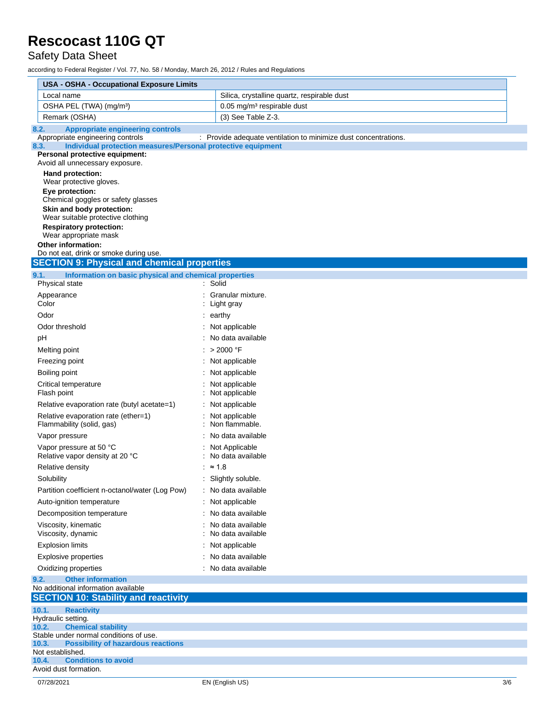### Safety Data Sheet

| <b>USA - OSHA - Occupational Exposure Limits</b>                                                         |                                                                 |  |  |  |
|----------------------------------------------------------------------------------------------------------|-----------------------------------------------------------------|--|--|--|
| Local name                                                                                               | Silica, crystalline quartz, respirable dust                     |  |  |  |
| OSHA PEL (TWA) (mg/m <sup>3</sup> )                                                                      | 0.05 mg/m <sup>3</sup> respirable dust                          |  |  |  |
| Remark (OSHA)                                                                                            | (3) See Table Z-3.                                              |  |  |  |
| <b>Appropriate engineering controls</b><br>8.2.                                                          |                                                                 |  |  |  |
| Appropriate engineering controls<br>Individual protection measures/Personal protective equipment<br>8.3. | : Provide adequate ventilation to minimize dust concentrations. |  |  |  |
| Personal protective equipment:                                                                           |                                                                 |  |  |  |
| Avoid all unnecessary exposure.                                                                          |                                                                 |  |  |  |
| Hand protection:                                                                                         |                                                                 |  |  |  |
| Wear protective gloves.<br>Eye protection:                                                               |                                                                 |  |  |  |
| Chemical goggles or safety glasses                                                                       |                                                                 |  |  |  |
| Skin and body protection:                                                                                |                                                                 |  |  |  |
| Wear suitable protective clothing                                                                        |                                                                 |  |  |  |
| <b>Respiratory protection:</b><br>Wear appropriate mask                                                  |                                                                 |  |  |  |
| Other information:                                                                                       |                                                                 |  |  |  |
| Do not eat, drink or smoke during use.                                                                   |                                                                 |  |  |  |
| <b>SECTION 9: Physical and chemical properties</b>                                                       |                                                                 |  |  |  |
| 9.1.<br>Information on basic physical and chemical properties                                            |                                                                 |  |  |  |
| Physical state                                                                                           | Solid                                                           |  |  |  |
| Appearance<br>Color                                                                                      | Granular mixture.<br>Light gray                                 |  |  |  |
| Odor                                                                                                     | $:$ earthy                                                      |  |  |  |
| Odor threshold                                                                                           | Not applicable                                                  |  |  |  |
| pH                                                                                                       | : No data available                                             |  |  |  |
|                                                                                                          | : > 2000 °F                                                     |  |  |  |
| Melting point                                                                                            |                                                                 |  |  |  |
| Freezing point                                                                                           | : Not applicable                                                |  |  |  |
| Boiling point                                                                                            | : Not applicable                                                |  |  |  |
| Critical temperature<br>Flash point                                                                      | Not applicable<br>Not applicable                                |  |  |  |
| Relative evaporation rate (butyl acetate=1)                                                              | : Not applicable                                                |  |  |  |
| Relative evaporation rate (ether=1)                                                                      | Not applicable                                                  |  |  |  |
| Flammability (solid, gas)                                                                                | : Non flammable.                                                |  |  |  |
| Vapor pressure                                                                                           | : No data available                                             |  |  |  |
| Vapor pressure at 50 °C                                                                                  | Not Applicable                                                  |  |  |  |
| Relative vapor density at 20 °C                                                                          | : No data available                                             |  |  |  |
| Relative density                                                                                         | : $\approx 1.8$                                                 |  |  |  |
| Solubility                                                                                               | : Slightly soluble.                                             |  |  |  |
| Partition coefficient n-octanol/water (Log Pow)                                                          | : No data available                                             |  |  |  |
| Auto-ignition temperature                                                                                | : Not applicable                                                |  |  |  |
| Decomposition temperature                                                                                | No data available                                               |  |  |  |
| Viscosity, kinematic                                                                                     | No data available                                               |  |  |  |
| Viscosity, dynamic                                                                                       | No data available                                               |  |  |  |
| <b>Explosion limits</b>                                                                                  | Not applicable                                                  |  |  |  |
| Explosive properties                                                                                     | No data available                                               |  |  |  |
| Oxidizing properties                                                                                     | : No data available                                             |  |  |  |
| 9.2.<br><b>Other information</b>                                                                         |                                                                 |  |  |  |
| No additional information available<br><b>SECTION 10: Stability and reactivity</b>                       |                                                                 |  |  |  |
|                                                                                                          |                                                                 |  |  |  |
| 10.1.<br><b>Reactivity</b><br>Hydraulic setting.                                                         |                                                                 |  |  |  |
| 10.2.<br><b>Chemical stability</b>                                                                       |                                                                 |  |  |  |
| Stable under normal conditions of use.                                                                   |                                                                 |  |  |  |
| <b>Possibility of hazardous reactions</b><br>10.3.<br>Not established.                                   |                                                                 |  |  |  |
| <b>Conditions to avoid</b><br>10.4.                                                                      |                                                                 |  |  |  |
| Avoid dust formation.                                                                                    |                                                                 |  |  |  |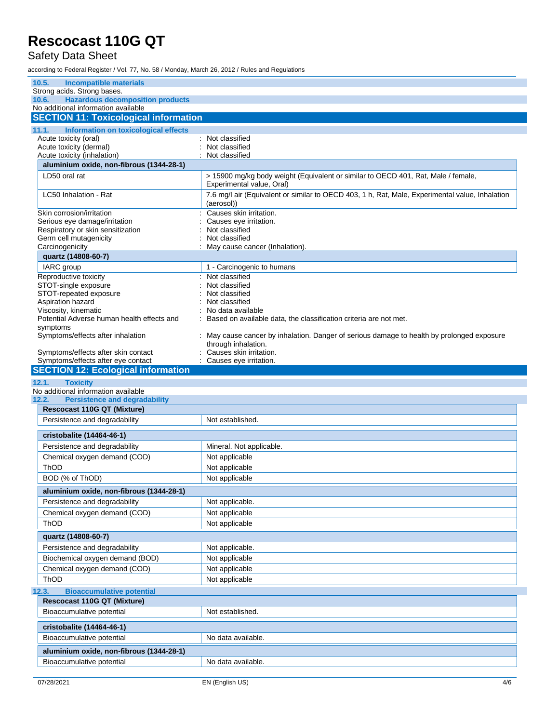### Safety Data Sheet

| 10.5.<br><b>Incompatible materials</b>                                                  |                                                                                                                 |
|-----------------------------------------------------------------------------------------|-----------------------------------------------------------------------------------------------------------------|
| Strong acids. Strong bases.                                                             |                                                                                                                 |
| <b>Hazardous decomposition products</b><br>10.6.<br>No additional information available |                                                                                                                 |
| <b>SECTION 11: Toxicological information</b>                                            |                                                                                                                 |
|                                                                                         |                                                                                                                 |
| Information on toxicological effects<br>11.1.<br>Acute toxicity (oral)                  | : Not classified                                                                                                |
| Acute toxicity (dermal)                                                                 | Not classified                                                                                                  |
| Acute toxicity (inhalation)                                                             | Not classified                                                                                                  |
| aluminium oxide, non-fibrous (1344-28-1)                                                |                                                                                                                 |
| LD50 oral rat                                                                           | > 15900 mg/kg body weight (Equivalent or similar to OECD 401, Rat, Male / female,                               |
|                                                                                         | Experimental value, Oral)                                                                                       |
| LC50 Inhalation - Rat                                                                   | 7.6 mg/l air (Equivalent or similar to OECD 403, 1 h, Rat, Male, Experimental value, Inhalation<br>(aerosol))   |
| Skin corrosion/irritation                                                               | Causes skin irritation.                                                                                         |
| Serious eye damage/irritation<br>Respiratory or skin sensitization                      | Causes eye irritation.<br>Not classified                                                                        |
| Germ cell mutagenicity                                                                  | Not classified                                                                                                  |
| Carcinogenicity                                                                         | May cause cancer (Inhalation).                                                                                  |
| quartz (14808-60-7)                                                                     |                                                                                                                 |
| IARC group                                                                              | 1 - Carcinogenic to humans                                                                                      |
| Reproductive toxicity                                                                   | : Not classified                                                                                                |
| STOT-single exposure                                                                    | Not classified                                                                                                  |
| STOT-repeated exposure                                                                  | Not classified<br>Not classified                                                                                |
| Aspiration hazard<br>Viscosity, kinematic                                               | No data available                                                                                               |
| Potential Adverse human health effects and                                              | Based on available data, the classification criteria are not met.                                               |
| symptoms                                                                                |                                                                                                                 |
| Symptoms/effects after inhalation                                                       | May cause cancer by inhalation. Danger of serious damage to health by prolonged exposure<br>through inhalation. |
| Symptoms/effects after skin contact                                                     | Causes skin irritation.                                                                                         |
| Symptoms/effects after eye contact<br><b>SECTION 12: Ecological information</b>         | Causes eye irritation.                                                                                          |
|                                                                                         |                                                                                                                 |
|                                                                                         |                                                                                                                 |
| <b>Toxicity</b><br>12.1.                                                                |                                                                                                                 |
| No additional information available<br><b>Persistence and degradability</b><br>12.2.    |                                                                                                                 |
| <b>Rescocast 110G QT (Mixture)</b>                                                      |                                                                                                                 |
| Persistence and degradability                                                           | Not established.                                                                                                |
|                                                                                         |                                                                                                                 |
| cristobalite (14464-46-1)                                                               |                                                                                                                 |
| Persistence and degradability                                                           | Mineral. Not applicable.                                                                                        |
| Chemical oxygen demand (COD)                                                            | Not applicable                                                                                                  |
| <b>ThOD</b>                                                                             | Not applicable                                                                                                  |
| BOD (% of ThOD)                                                                         | Not applicable                                                                                                  |
| aluminium oxide, non-fibrous (1344-28-1)                                                |                                                                                                                 |
| Persistence and degradability                                                           | Not applicable.                                                                                                 |
| Chemical oxygen demand (COD)                                                            | Not applicable                                                                                                  |
| ThOD                                                                                    | Not applicable                                                                                                  |
| quartz (14808-60-7)                                                                     |                                                                                                                 |
| Persistence and degradability                                                           | Not applicable.                                                                                                 |
| Biochemical oxygen demand (BOD)                                                         | Not applicable                                                                                                  |
| Chemical oxygen demand (COD)                                                            | Not applicable                                                                                                  |
| ThOD                                                                                    | Not applicable                                                                                                  |
| <b>Bioaccumulative potential</b><br>12.3.                                               |                                                                                                                 |
| <b>Rescocast 110G QT (Mixture)</b>                                                      |                                                                                                                 |
| Bioaccumulative potential                                                               | Not established.                                                                                                |
|                                                                                         |                                                                                                                 |
| cristobalite (14464-46-1)                                                               |                                                                                                                 |
| Bioaccumulative potential                                                               | No data available.                                                                                              |
| aluminium oxide, non-fibrous (1344-28-1)<br>Bioaccumulative potential                   | No data available.                                                                                              |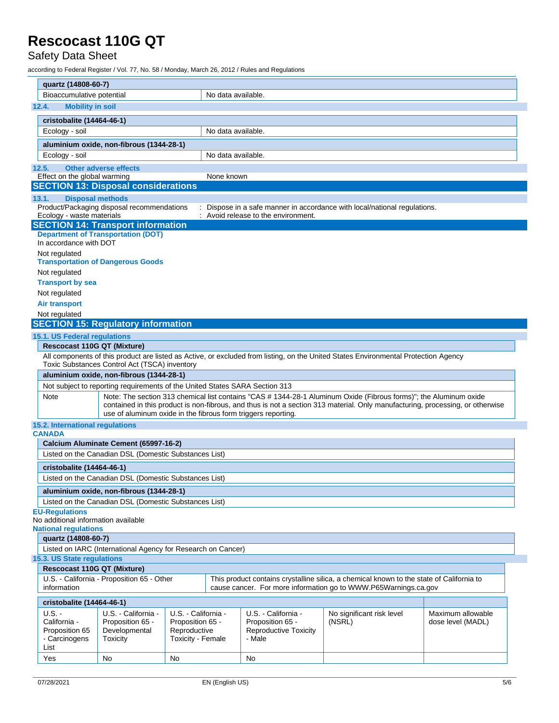### Safety Data Sheet

| quartz (14808-60-7)                                       |                                                                                  |                                   |                    |                                        |                                                                                                                                     |                   |
|-----------------------------------------------------------|----------------------------------------------------------------------------------|-----------------------------------|--------------------|----------------------------------------|-------------------------------------------------------------------------------------------------------------------------------------|-------------------|
| Bioaccumulative potential                                 |                                                                                  |                                   | No data available. |                                        |                                                                                                                                     |                   |
| <b>Mobility in soil</b><br>12.4.                          |                                                                                  |                                   |                    |                                        |                                                                                                                                     |                   |
|                                                           |                                                                                  |                                   |                    |                                        |                                                                                                                                     |                   |
| cristobalite (14464-46-1)<br>Ecology - soil               |                                                                                  |                                   | No data available. |                                        |                                                                                                                                     |                   |
|                                                           |                                                                                  |                                   |                    |                                        |                                                                                                                                     |                   |
|                                                           | aluminium oxide, non-fibrous (1344-28-1)                                         |                                   |                    |                                        |                                                                                                                                     |                   |
| Ecology - soil                                            |                                                                                  |                                   | No data available. |                                        |                                                                                                                                     |                   |
| 12.5.                                                     | Other adverse effects                                                            |                                   |                    |                                        |                                                                                                                                     |                   |
| Effect on the global warming                              |                                                                                  |                                   | None known         |                                        |                                                                                                                                     |                   |
|                                                           | <b>SECTION 13: Disposal considerations</b>                                       |                                   |                    |                                        |                                                                                                                                     |                   |
| 13.1.                                                     | <b>Disposal methods</b><br>Product/Packaging disposal recommendations            |                                   |                    |                                        | : Dispose in a safe manner in accordance with local/national regulations.                                                           |                   |
| Ecology - waste materials                                 |                                                                                  |                                   |                    | : Avoid release to the environment.    |                                                                                                                                     |                   |
|                                                           | <b>SECTION 14: Transport information</b>                                         |                                   |                    |                                        |                                                                                                                                     |                   |
|                                                           | <b>Department of Transportation (DOT)</b>                                        |                                   |                    |                                        |                                                                                                                                     |                   |
| In accordance with DOT                                    |                                                                                  |                                   |                    |                                        |                                                                                                                                     |                   |
| Not regulated                                             |                                                                                  |                                   |                    |                                        |                                                                                                                                     |                   |
|                                                           | <b>Transportation of Dangerous Goods</b>                                         |                                   |                    |                                        |                                                                                                                                     |                   |
| Not regulated                                             |                                                                                  |                                   |                    |                                        |                                                                                                                                     |                   |
| <b>Transport by sea</b>                                   |                                                                                  |                                   |                    |                                        |                                                                                                                                     |                   |
| Not regulated<br><b>Air transport</b>                     |                                                                                  |                                   |                    |                                        |                                                                                                                                     |                   |
| Not regulated                                             |                                                                                  |                                   |                    |                                        |                                                                                                                                     |                   |
|                                                           | <b>SECTION 15: Regulatory information</b>                                        |                                   |                    |                                        |                                                                                                                                     |                   |
| 15.1. US Federal regulations                              |                                                                                  |                                   |                    |                                        |                                                                                                                                     |                   |
|                                                           | <b>Rescocast 110G QT (Mixture)</b>                                               |                                   |                    |                                        |                                                                                                                                     |                   |
|                                                           |                                                                                  |                                   |                    |                                        | All components of this product are listed as Active, or excluded from listing, on the United States Environmental Protection Agency |                   |
|                                                           | Toxic Substances Control Act (TSCA) inventory                                    |                                   |                    |                                        |                                                                                                                                     |                   |
|                                                           | aluminium oxide, non-fibrous (1344-28-1)                                         |                                   |                    |                                        |                                                                                                                                     |                   |
|                                                           | Not subject to reporting requirements of the United States SARA Section 313      |                                   |                    |                                        |                                                                                                                                     |                   |
| Note                                                      |                                                                                  |                                   |                    |                                        | Note: The section 313 chemical list contains "CAS # 1344-28-1 Aluminum Oxide (Fibrous forms)"; the Aluminum oxide                   |                   |
|                                                           |                                                                                  |                                   |                    |                                        | contained in this product is non-fibrous, and thus is not a section 313 material. Only manufacturing, processing, or otherwise      |                   |
|                                                           | use of aluminum oxide in the fibrous form triggers reporting.                    |                                   |                    |                                        |                                                                                                                                     |                   |
| 15.2. International regulations<br><b>CANADA</b>          |                                                                                  |                                   |                    |                                        |                                                                                                                                     |                   |
|                                                           | Calcium Aluminate Cement (65997-16-2)                                            |                                   |                    |                                        |                                                                                                                                     |                   |
|                                                           | Listed on the Canadian DSL (Domestic Substances List)                            |                                   |                    |                                        |                                                                                                                                     |                   |
|                                                           |                                                                                  |                                   |                    |                                        |                                                                                                                                     |                   |
| cristobalite (14464-46-1)                                 |                                                                                  |                                   |                    |                                        |                                                                                                                                     |                   |
|                                                           | Listed on the Canadian DSL (Domestic Substances List)                            |                                   |                    |                                        |                                                                                                                                     |                   |
|                                                           | aluminium oxide, non-fibrous (1344-28-1)                                         |                                   |                    |                                        |                                                                                                                                     |                   |
|                                                           | Listed on the Canadian DSL (Domestic Substances List)                            |                                   |                    |                                        |                                                                                                                                     |                   |
| <b>EU-Regulations</b>                                     |                                                                                  |                                   |                    |                                        |                                                                                                                                     |                   |
| No additional information available                       |                                                                                  |                                   |                    |                                        |                                                                                                                                     |                   |
|                                                           |                                                                                  |                                   |                    |                                        |                                                                                                                                     |                   |
|                                                           |                                                                                  |                                   |                    |                                        |                                                                                                                                     |                   |
| quartz (14808-60-7)                                       |                                                                                  |                                   |                    |                                        |                                                                                                                                     |                   |
|                                                           | Listed on IARC (International Agency for Research on Cancer)                     |                                   |                    |                                        |                                                                                                                                     |                   |
| <b>National regulations</b><br>15.3. US State regulations |                                                                                  |                                   |                    |                                        |                                                                                                                                     |                   |
|                                                           | <b>Rescocast 110G QT (Mixture)</b><br>U.S. - California - Proposition 65 - Other |                                   |                    |                                        | This product contains crystalline silica, a chemical known to the state of California to                                            |                   |
| information                                               |                                                                                  |                                   |                    |                                        | cause cancer. For more information go to WWW.P65Warnings.ca.gov                                                                     |                   |
| cristobalite (14464-46-1)                                 |                                                                                  |                                   |                    |                                        |                                                                                                                                     |                   |
| $U.S. -$                                                  | U.S. - California -                                                              | U.S. - California -               |                    | U.S. - California -                    | No significant risk level                                                                                                           | Maximum allowable |
| California -                                              | Proposition 65 -                                                                 | Proposition 65 -                  |                    | Proposition 65 -                       | (NSRL)                                                                                                                              | dose level (MADL) |
| Proposition 65<br>- Carcinogens                           | Developmental<br>Toxicity                                                        | Reproductive<br>Toxicity - Female |                    | <b>Reproductive Toxicity</b><br>- Male |                                                                                                                                     |                   |
| List<br>Yes                                               |                                                                                  |                                   |                    |                                        |                                                                                                                                     |                   |